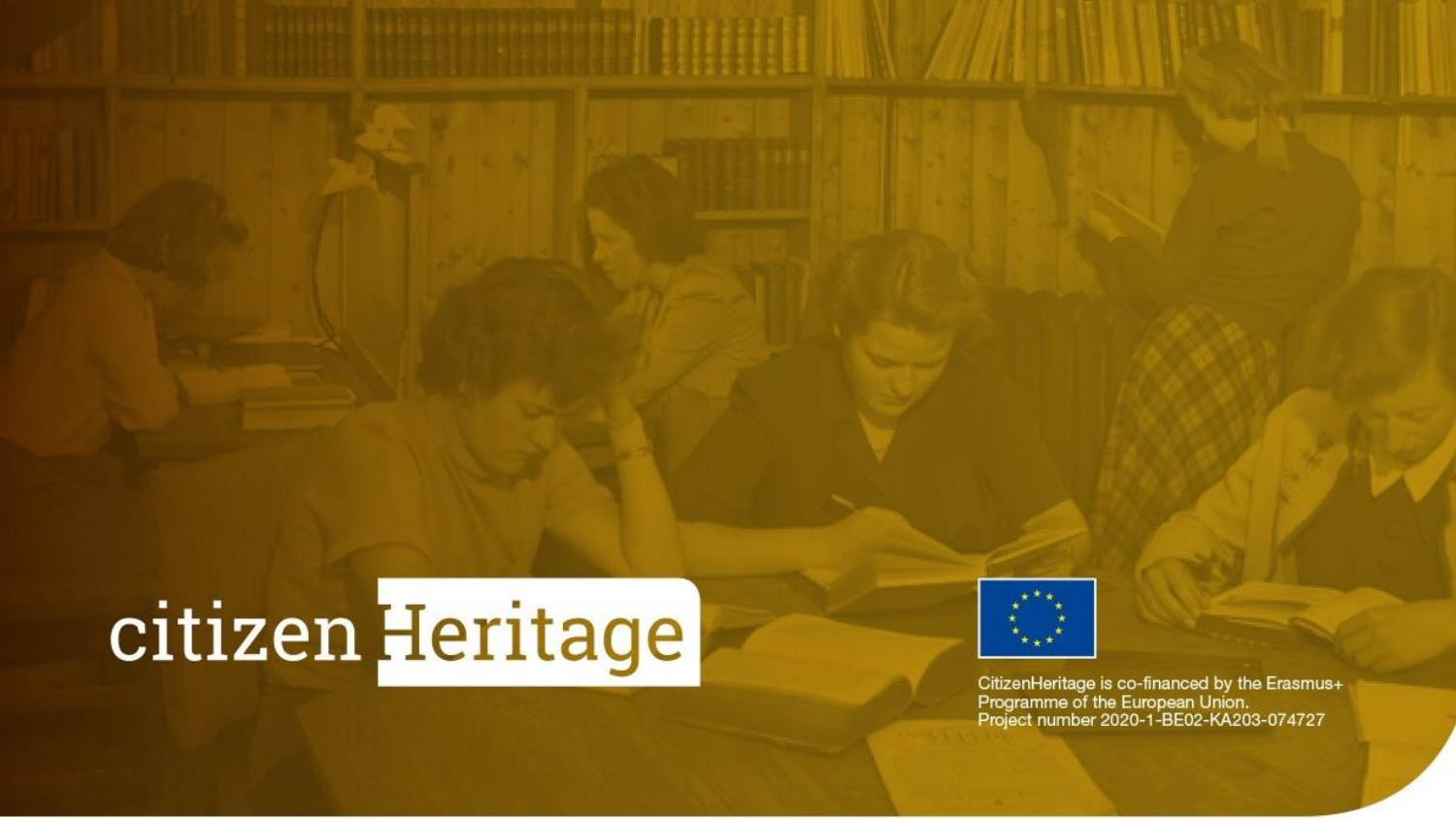# citizen Heritage



CitizenHeritage is co-financed by the Erasmus+<br>Programme of the European Union.<br>Project number 2020-1-BE02-KA203-074727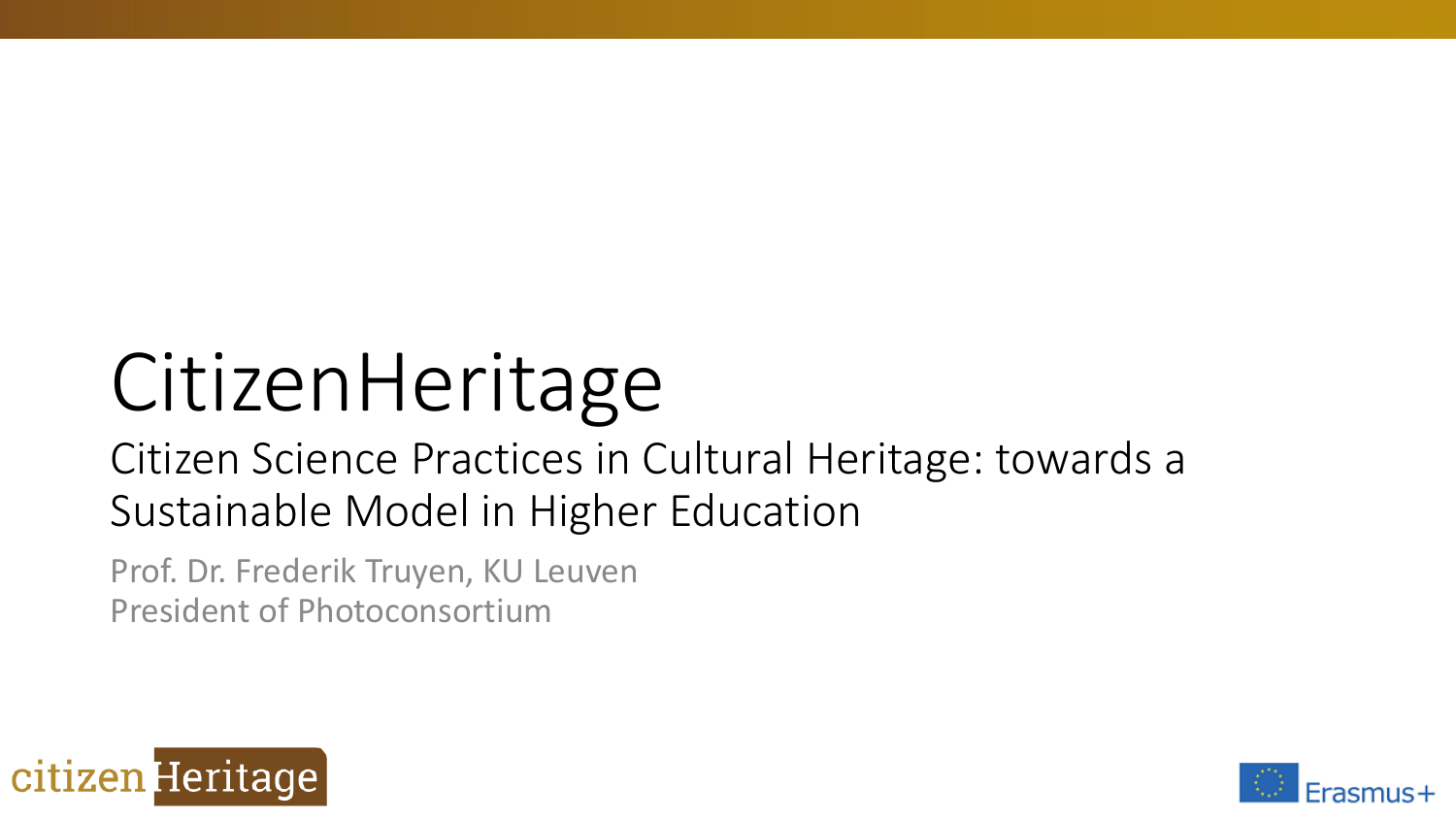# CitizenHeritage

### Citizen Science Practices in Cultural Heritage: towards a Sustainable Model in Higher Education

Prof. Dr. Frederik Truyen, KU Leuven President of Photoconsortium



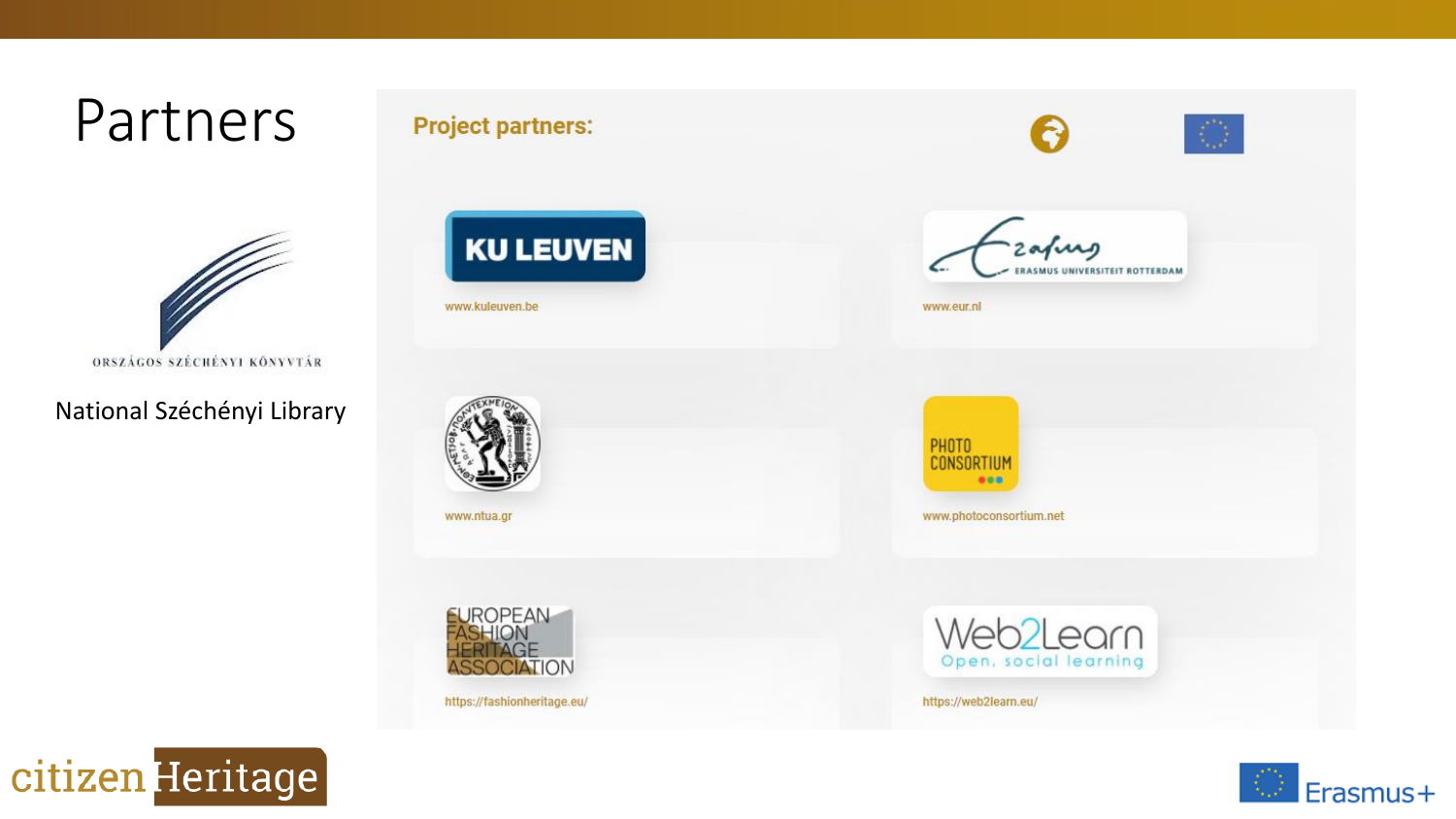

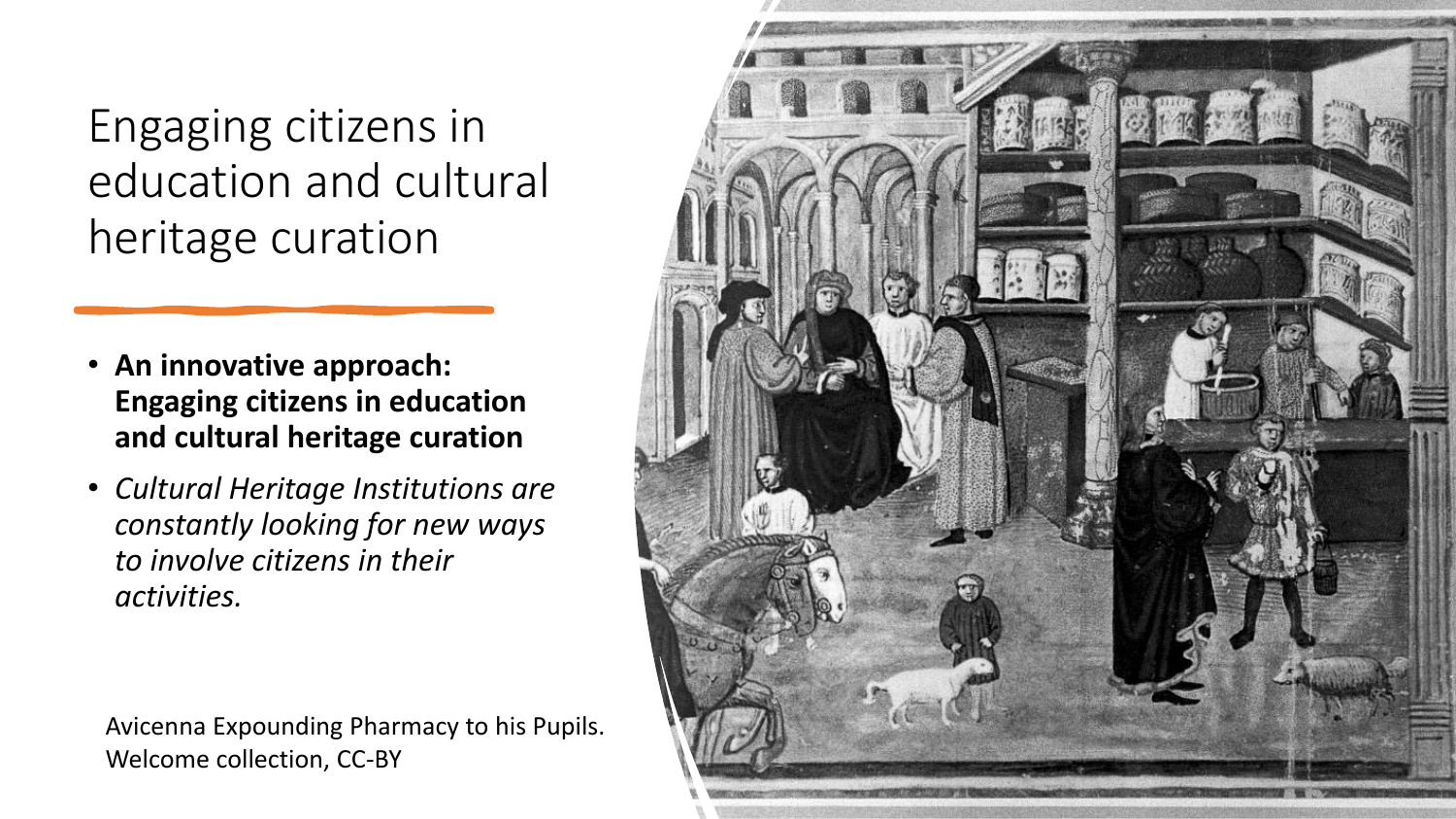Engaging citizens in education and cultural heritage curation

- **An innovative approach: Engaging citizens in education and cultural heritage curation**
- *Cultural Heritage Institutions are constantly looking for new ways to involve citizens in their activities.*

Avicenna Expounding Pharmacy to his Pupils. Welcome collection, CC-BY

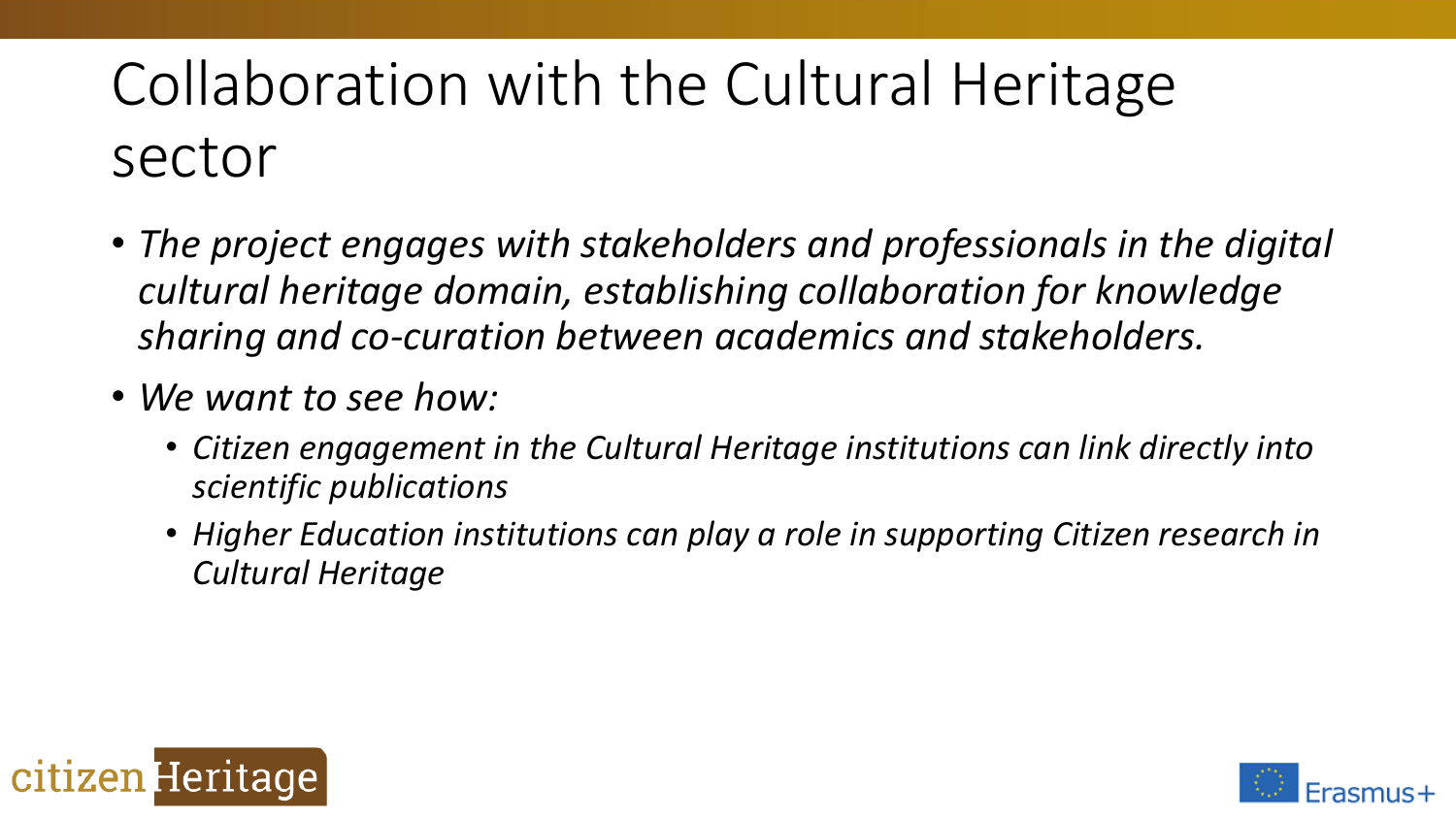## Collaboration with the Cultural Heritage sector

- *The project engages with stakeholders and professionals in the digital cultural heritage domain, establishing collaboration for knowledge sharing and co-curation between academics and stakeholders.*
- *We want to see how:*
	- *Citizen engagement in the Cultural Heritage institutions can link directly into scientific publications*
	- *Higher Education institutions can play a role in supporting Citizen research in Cultural Heritage*



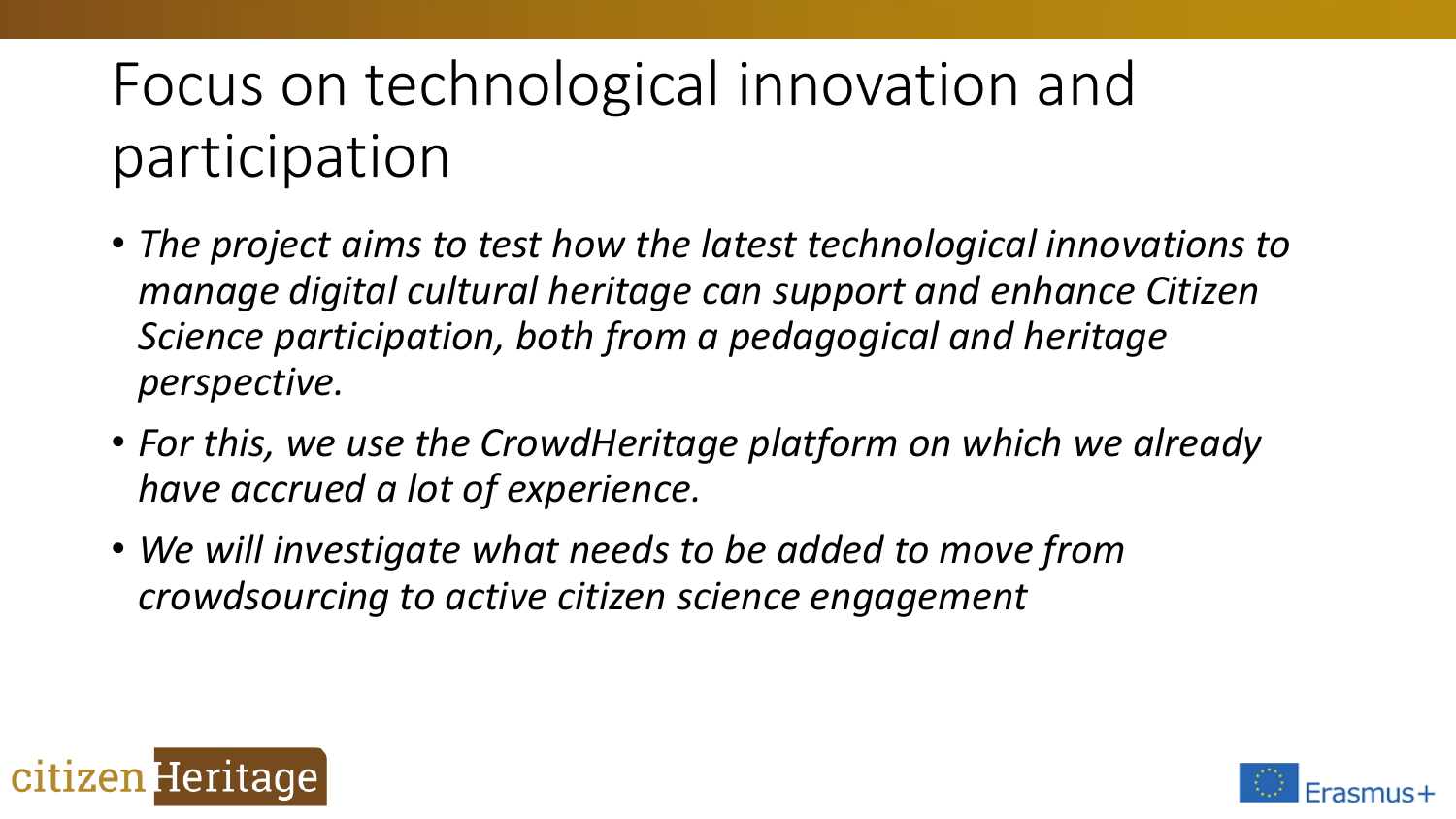## Focus on technological innovation and participation

- *The project aims to test how the latest technological innovations to manage digital cultural heritage can support and enhance Citizen Science participation, both from a pedagogical and heritage perspective.*
- *For this, we use the CrowdHeritage platform on which we already have accrued a lot of experience.*
- *We will investigate what needs to be added to move from crowdsourcing to active citizen science engagement*



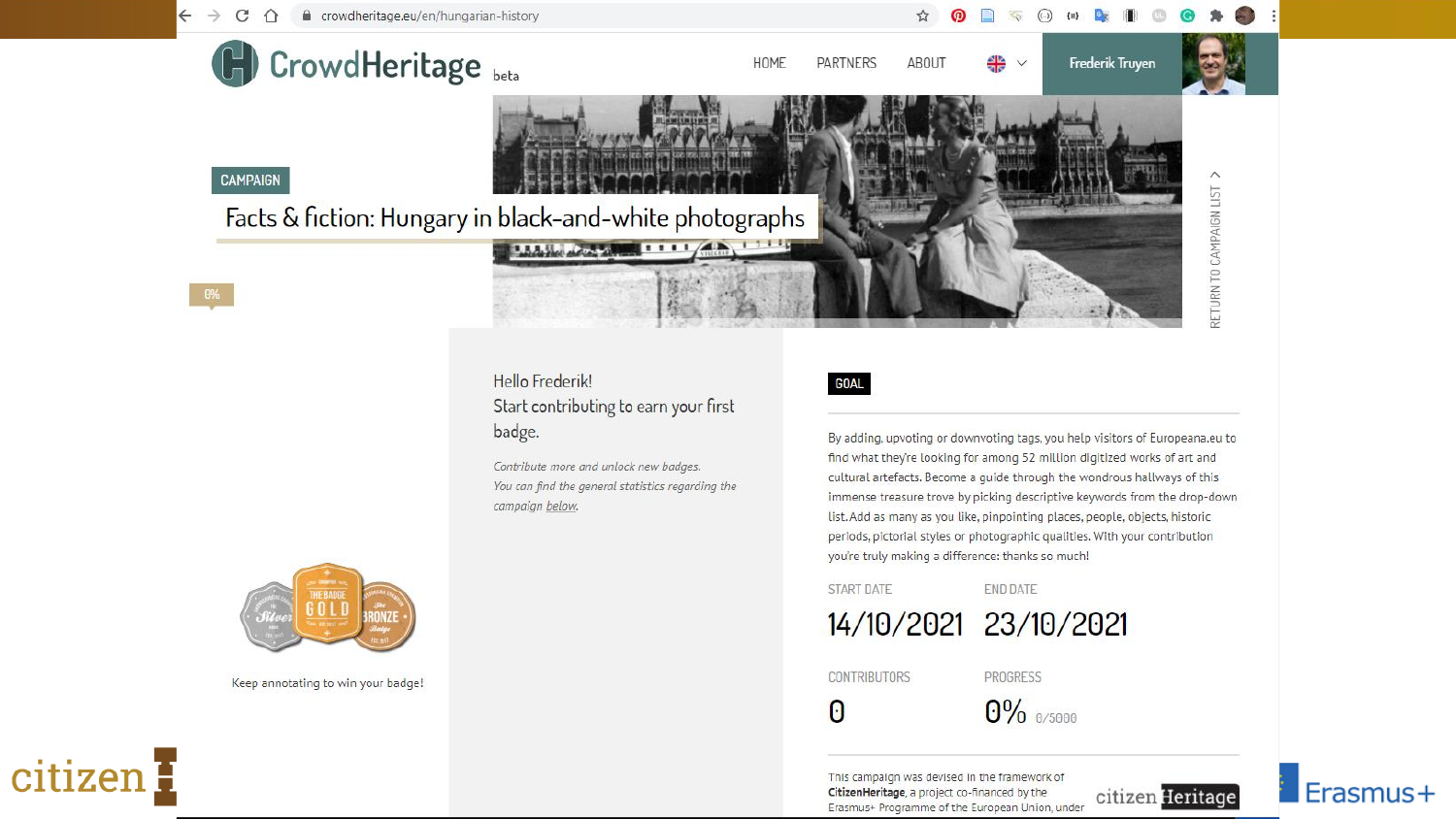



Keep annotating to win your badge!

citizen E

list. Add as many as you like, pinpointing places, people, objects, historic periods, pictorial styles or photographic qualities. With your contribution you're truly making a difference: thanks so much!

#### **START DATE**



#### **CONTRIBUTORS**

PROGRESS

**END DATE** 

 $\Theta$ 

 $0\%$  0/5000

This campaign was devised in the framework of CitizenHeritage, a project co-financed by the Erasmus+ Programme of the European Union, under



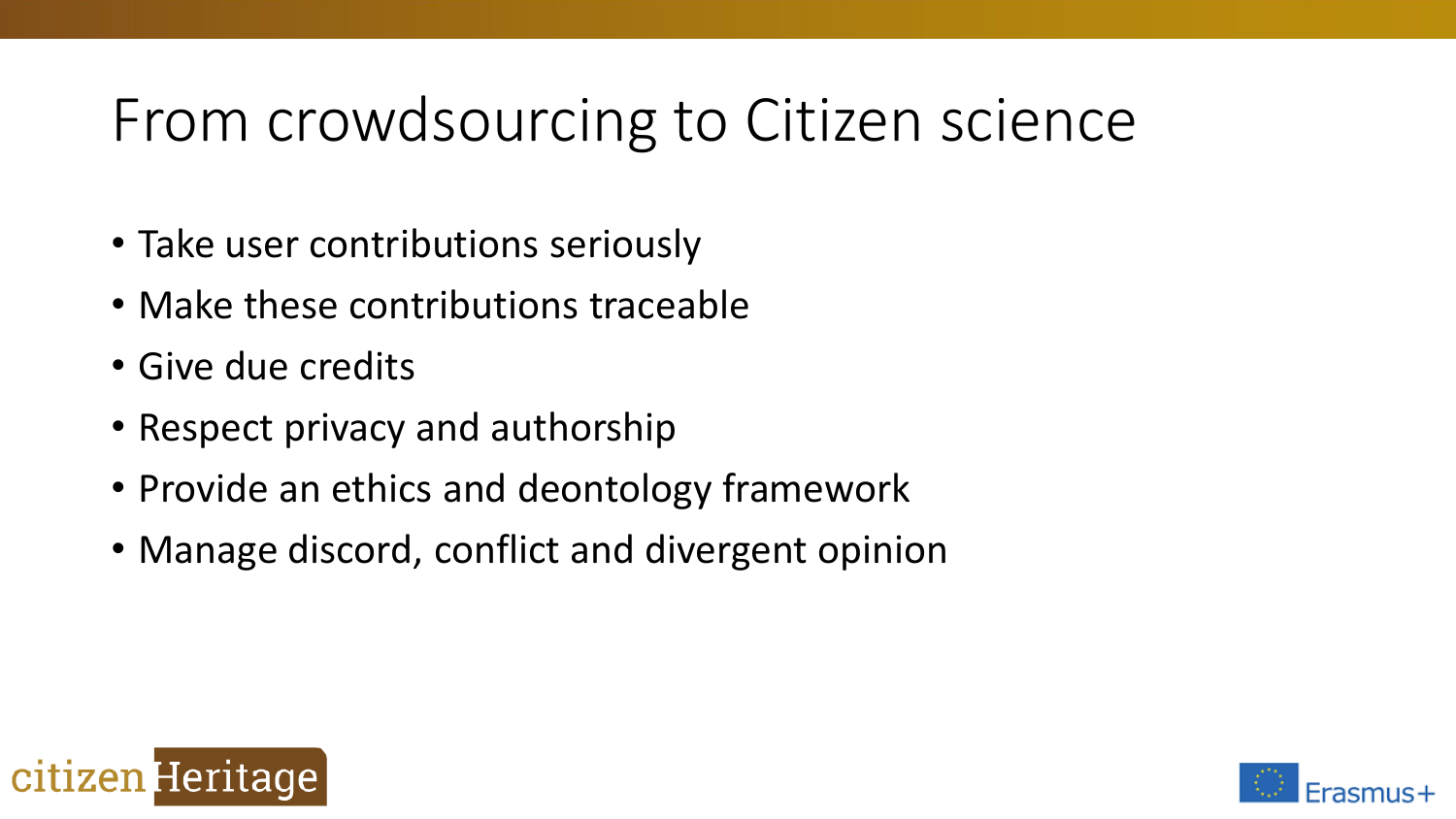### From crowdsourcing to Citizen science

- Take user contributions seriously
- Make these contributions traceable
- Give due credits
- Respect privacy and authorship
- Provide an ethics and deontology framework
- Manage discord, conflict and divergent opinion



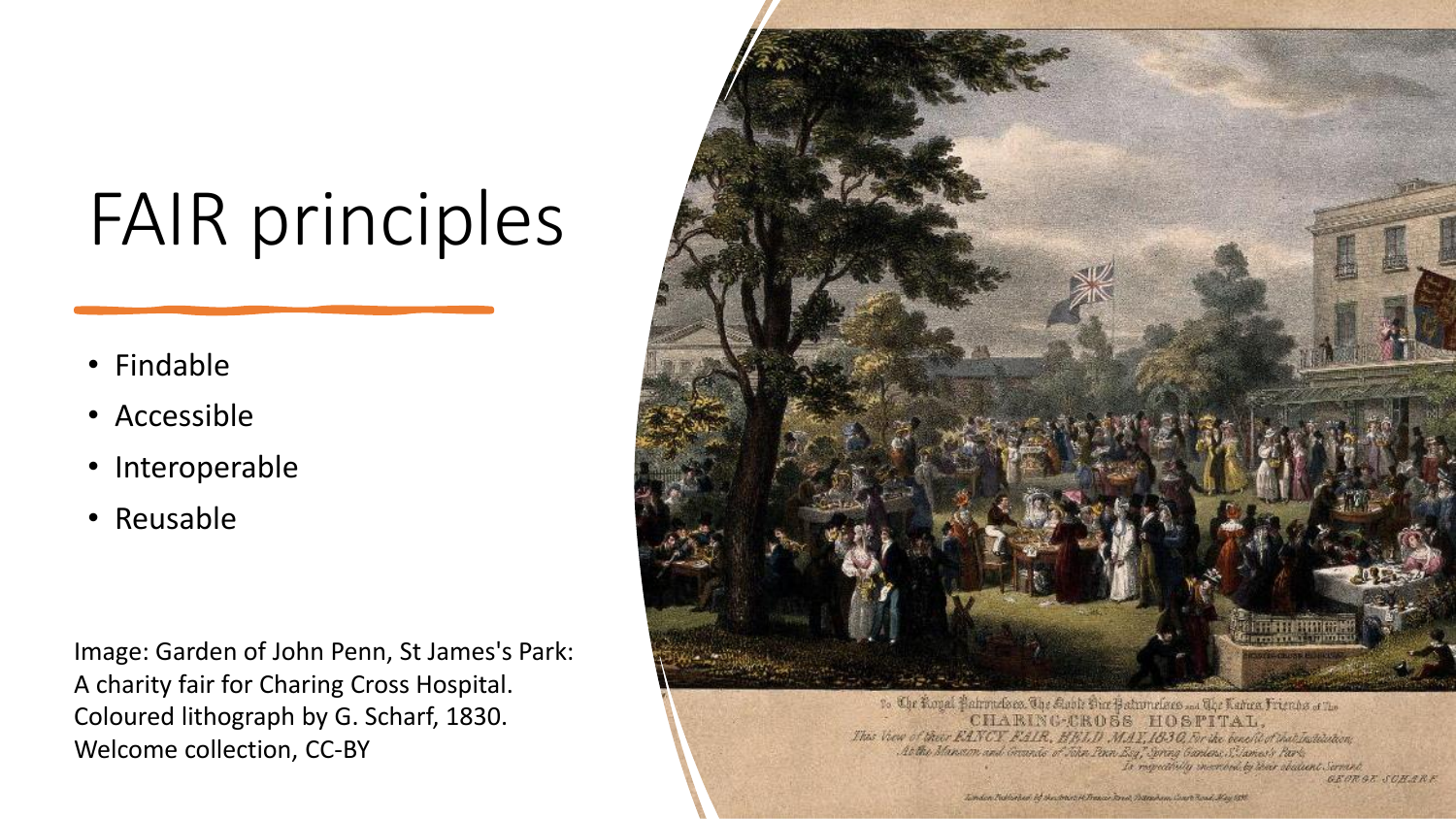## FAIR principles

- Findable
- Accessible
- Interoperable
- Reusable

Image: Garden of John Penn, St James's Park: A charity fair for Charing Cross Hospital. Coloured lithograph by G. Scharf, 1830. Welcome collection, CC-BY



to Che Koyal Pabroucleae. The Kable Dice Patronelaces and The Radica Friends of the CHARING-CROSS HOSFITAL. Thus View of their EANCY FAIR, HELD MAY, 1830, Fir the benefit of that Institution; At the Manson and Grands of John Penn Esq, Spring Gardens, S. James's Park, Is requestively incorded by their obsident Servant. GEORGE SCHARE

Lindon Rollingon of the Backer of Transactions, Datasham Court Road, May 1995.